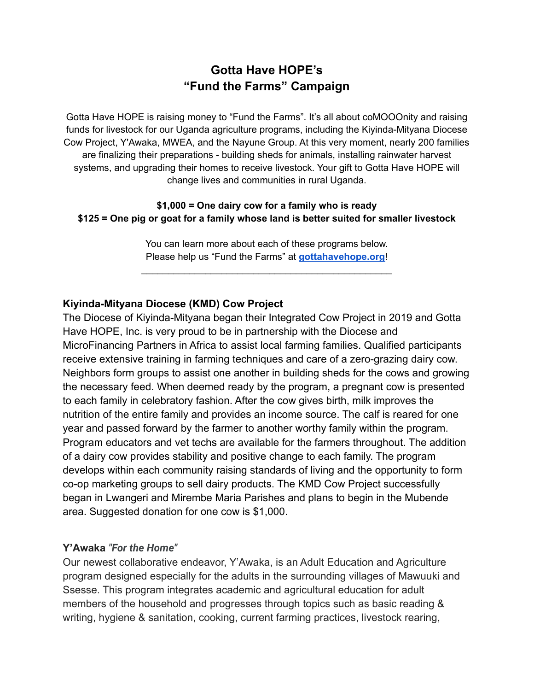# **Gotta Have HOPE's "Fund the Farms" Campaign**

Gotta Have HOPE is raising money to "Fund the Farms". It's all about coMOOOnity and raising funds for livestock for our Uganda agriculture programs, including the Kiyinda-Mityana Diocese Cow Project, Y'Awaka, MWEA, and the Nayune Group. At this very moment, nearly 200 families are finalizing their preparations - building sheds for animals, installing rainwater harvest systems, and upgrading their homes to receive livestock. Your gift to Gotta Have HOPE will change lives and communities in rural Uganda.

#### **\$1,000 = One dairy cow for a family who is ready \$125 = One pig or goat for a family whose land is better suited for smaller livestock**

You can learn more about each of these programs below. Please help us "Fund the Farms" at **[gottahavehope.org](https://gottahavehope.org/)**!

\_\_\_\_\_\_\_\_\_\_\_\_\_\_\_\_\_\_\_\_\_\_\_\_\_\_\_\_\_\_\_\_\_\_\_\_\_\_\_\_\_\_\_\_\_\_\_

#### **Kiyinda-Mityana Diocese (KMD) Cow Project**

The Diocese of Kiyinda-Mityana began their Integrated Cow Project in 2019 and Gotta Have HOPE, Inc. is very proud to be in partnership with the Diocese and MicroFinancing Partners in Africa to assist local farming families. Qualified participants receive extensive training in farming techniques and care of a zero-grazing dairy cow. Neighbors form groups to assist one another in building sheds for the cows and growing the necessary feed. When deemed ready by the program, a pregnant cow is presented to each family in celebratory fashion. After the cow gives birth, milk improves the nutrition of the entire family and provides an income source. The calf is reared for one year and passed forward by the farmer to another worthy family within the program. Program educators and vet techs are available for the farmers throughout. The addition of a dairy cow provides stability and positive change to each family. The program develops within each community raising standards of living and the opportunity to form co-op marketing groups to sell dairy products. The KMD Cow Project successfully began in Lwangeri and Mirembe Maria Parishes and plans to begin in the Mubende area. Suggested donation for one cow is \$1,000.

#### **Y'Awaka** *"For the Home"*

Our newest collaborative endeavor, Y'Awaka, is an Adult Education and Agriculture program designed especially for the adults in the surrounding villages of Mawuuki and Ssesse. This program integrates academic and agricultural education for adult members of the household and progresses through topics such as basic reading & writing, hygiene & sanitation, cooking, current farming practices, livestock rearing,